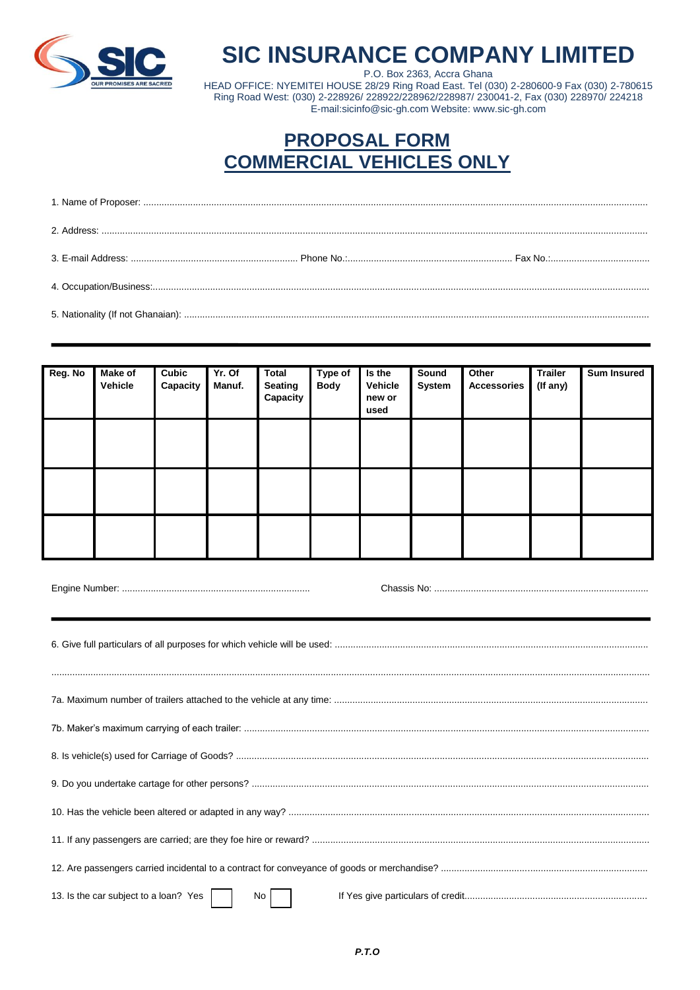

## **SIC INSURANCE COMPANY LIMITED**

P.O. Box 2363, Accra Ghana<br>P.O. Box 2363, Accra Ghana<br>HEAD OFFICE: NYEMITEI HOUSE 28/29 Ring Road East. Tel (030) 2-280600-9 Fax (030) 2-780615 Ring Road West: (030) 2-228926/ 228922/228962/228987/ 230041-2, Fax (030) 228970/ 224218 E-mail:sicinfo@sic-gh.com Website: www.sic-gh.com

## **PROPOSAL FORM COMMERCIAL VEHICLES ONLY**

| Reg. No | <b>Make of</b><br>Vehicle | Cubic<br>Capacity | $Yr.$ Of<br>Manuf. | <b>Total</b><br><b>Seating</b><br>Capacity | Type of<br><b>Body</b> | Is the<br><b>Vehicle</b><br>new or<br>used | Sound<br><b>System</b> | Other<br><b>Accessories</b> | <b>Trailer</b><br>(If any) | <b>Sum Insured</b> |
|---------|---------------------------|-------------------|--------------------|--------------------------------------------|------------------------|--------------------------------------------|------------------------|-----------------------------|----------------------------|--------------------|
|         |                           |                   |                    |                                            |                        |                                            |                        |                             |                            |                    |
|         |                           |                   |                    |                                            |                        |                                            |                        |                             |                            |                    |
|         |                           |                   |                    |                                            |                        |                                            |                        |                             |                            |                    |

| 13. Is the car subject to a loan? Yes  <br>$\begin{array}{c c} \n\text{No} & \text{ }\n\end{array}$ |  |
|-----------------------------------------------------------------------------------------------------|--|